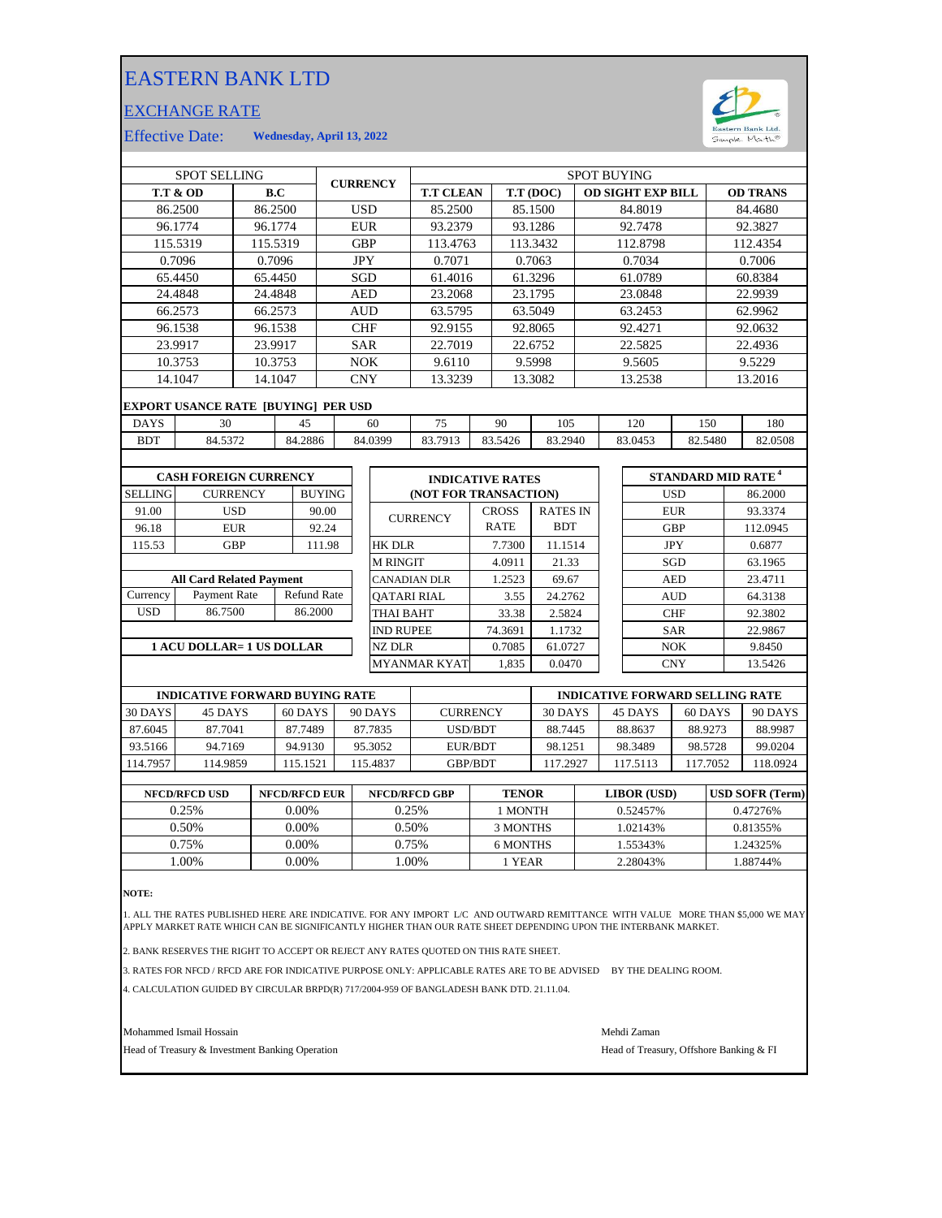## EASTERN BANK LTD

## EXCHANGE RATE



Effective Date: **Wednesday, April 13, 2022**

| <b>SPOT SELLING</b>              |                                            |                 |                    | <b>CURRENCY</b> |            | <b>SPOT BUYING</b>      |                       |              |                 |         |                          |            |                                      |                 |          |  |
|----------------------------------|--------------------------------------------|-----------------|--------------------|-----------------|------------|-------------------------|-----------------------|--------------|-----------------|---------|--------------------------|------------|--------------------------------------|-----------------|----------|--|
| <b>T.T &amp; OD</b>              |                                            |                 | B.C                |                 |            | <b>T.T CLEAN</b>        |                       |              | T.T (DOC)       |         | <b>OD SIGHT EXP BILL</b> |            |                                      | <b>OD TRANS</b> |          |  |
| 86.2500                          |                                            |                 | 86.2500            | <b>USD</b>      |            | 85.2500                 |                       |              | 85.1500         |         | 84.8019                  |            |                                      |                 | 84.4680  |  |
|                                  | 96.1774                                    |                 | 96.1774            |                 | <b>EUR</b> |                         | 93.2379               |              | 93.1286         |         |                          | 92.7478    |                                      |                 | 92.3827  |  |
|                                  | 115.5319                                   |                 | 115.5319           |                 | <b>GBP</b> |                         | 113.4763              |              | 113.3432        |         |                          | 112.8798   |                                      |                 | 112.4354 |  |
|                                  | 0.7096                                     |                 | 0.7096             |                 | <b>JPY</b> |                         | 0.7071                |              | 0.7063          |         |                          | 0.7034     |                                      |                 | 0.7006   |  |
|                                  | 65.4450                                    |                 | 65.4450            |                 | SGD        |                         | 61.4016               |              | 61.3296         |         |                          | 61.0789    |                                      |                 | 60.8384  |  |
|                                  | 24.4848                                    |                 | 24.4848            |                 | <b>AED</b> |                         | 23.2068               |              | 23.1795         |         |                          | 23.0848    |                                      |                 | 22.9939  |  |
|                                  | 66.2573                                    |                 | 66.2573            |                 | <b>AUD</b> |                         | 63.5795               |              | 63.5049         |         |                          | 63.2453    |                                      |                 | 62.9962  |  |
|                                  | 96.1538                                    |                 | 96.1538            |                 | <b>CHF</b> |                         | 92.9155               |              | 92.8065         |         |                          | 92.4271    |                                      |                 | 92.0632  |  |
|                                  | 23.9917                                    |                 | 23.9917            |                 | <b>SAR</b> |                         | 22.7019               |              | 22.6752         |         |                          | 22.5825    |                                      |                 | 22.4936  |  |
|                                  | 10.3753                                    |                 | 10.3753            | <b>NOK</b>      |            | 9.6110                  |                       | 9.5998       |                 | 9.5605  |                          |            | 9.5229                               |                 |          |  |
| 14.1047<br>14.1047               |                                            |                 |                    | <b>CNY</b>      |            | 13.3239                 |                       | 13.3082      |                 | 13.2538 |                          |            | 13.2016                              |                 |          |  |
|                                  | <b>EXPORT USANCE RATE [BUYING] PER USD</b> |                 |                    |                 |            |                         |                       |              |                 |         |                          |            |                                      |                 |          |  |
| <b>DAYS</b>                      |                                            | 30<br>45        |                    |                 | 60         | 75                      | 90                    | 105          |                 |         | 120                      | 150        |                                      | 180             |          |  |
| <b>BDT</b>                       | 84.5372                                    |                 | 84.2886            |                 |            | 84.0399                 | 83.7913               | 83.5426      | 83.2940         |         |                          | 83.0453    | 82.5480                              |                 | 82.0508  |  |
|                                  |                                            |                 |                    |                 |            |                         |                       |              |                 |         |                          |            |                                      |                 |          |  |
| <b>CASH FOREIGN CURRENCY</b>     |                                            |                 |                    |                 |            | <b>INDICATIVE RATES</b> |                       |              |                 |         |                          |            | <b>STANDARD MID RATE<sup>4</sup></b> |                 |          |  |
| <b>SELLING</b>                   |                                            | <b>CURRENCY</b> | <b>BUYING</b>      |                 |            |                         | (NOT FOR TRANSACTION) |              |                 |         |                          |            | <b>USD</b>                           |                 | 86.2000  |  |
| 91.00                            |                                            | <b>USD</b>      | 90.00              |                 |            |                         |                       | <b>CROSS</b> | <b>RATES IN</b> |         |                          |            | <b>EUR</b>                           |                 | 93.3374  |  |
| 96.18                            |                                            | <b>EUR</b>      | 92.24              |                 |            |                         | <b>CURRENCY</b>       | <b>RATE</b>  | <b>BDT</b>      |         |                          |            | <b>GBP</b>                           |                 | 112.0945 |  |
| 115.53                           |                                            | <b>GBP</b>      |                    | 111.98          |            | <b>HK DLR</b>           |                       | 7.7300       | 11.1514         |         |                          | <b>JPY</b> |                                      | 0.6877          |          |  |
|                                  |                                            |                 |                    |                 |            | <b>M RINGIT</b>         |                       | 4.0911       | 21.33           |         |                          |            | SGD                                  |                 | 63.1965  |  |
| <b>All Card Related Payment</b>  |                                            |                 |                    |                 |            | <b>CANADIAN DLR</b>     |                       | 1.2523       | 69.67           |         | <b>AED</b>               |            |                                      | 23.4711         |          |  |
| Currency                         | <b>Payment Rate</b>                        |                 | <b>Refund Rate</b> |                 |            | <b>OATARI RIAL</b>      |                       | 3.55         | 24.2762         |         |                          |            | <b>AUD</b>                           |                 | 64.3138  |  |
| <b>USD</b>                       | 86.7500                                    |                 | 86.2000            |                 |            | <b>THAI BAHT</b>        |                       | 33.38        | 2.5824          |         |                          |            | <b>CHF</b>                           |                 | 92.3802  |  |
|                                  |                                            |                 |                    |                 |            | <b>IND RUPEE</b>        |                       | 74.3691      |                 | 1.1732  |                          | <b>SAR</b> |                                      | 22.9867         |          |  |
| <b>1 ACU DOLLAR= 1 US DOLLAR</b> |                                            |                 |                    |                 |            | <b>NZ DLR</b>           |                       | 0.7085       |                 | 61.0727 |                          | <b>NOK</b> |                                      | 9.8450          |          |  |
|                                  |                                            |                 |                    |                 |            |                         | <b>MYANMAR KYAT</b>   | 1,835        | 0.0470          |         |                          |            | <b>CNY</b>                           |                 | 13.5426  |  |
|                                  |                                            |                 |                    |                 |            |                         |                       |              |                 |         |                          |            |                                      |                 |          |  |

| <b>INDICATIVE FORWARD BUYING RATE</b> |          |           |          |                 | <b>INDICATIVE FORWARD SELLING RATE</b> |          |          |          |  |  |
|---------------------------------------|----------|-----------|----------|-----------------|----------------------------------------|----------|----------|----------|--|--|
| 30 DAYS                               | 45 DAYS  | $60$ DAYS | 90 DAYS  | <b>CURRENCY</b> | 30 DAYS                                | 45 DAYS  | 60 DAYS  | 90 DAYS  |  |  |
| 87.6045                               | 87.7041  | 87.7489   | 87.7835  | USD/BDT         | 88.7445                                | 88.8637  | 88.9273  | 88.9987  |  |  |
| 93.5166                               | 94.7169  | 94.9130   | 95.3052  | EUR/BDT         | 98.1251                                | 98.3489  | 98.5728  | 99.0204  |  |  |
| 114.7957                              | 114.9859 | 15.1521   | 115.4837 | <b>GBP/BDT</b>  | 117.2927                               | 117.5113 | 117.7052 | 118.0924 |  |  |
|                                       |          |           |          |                 |                                        |          |          |          |  |  |

| <b>NFCD/RFCD USD</b> | <b>NFCD/RFCD EUR</b> | <b>NFCD/RFCD GBP</b> | <b>TENOR</b> | <b>LIBOR</b> (USD) | <b>USD SOFR (Term)</b> |
|----------------------|----------------------|----------------------|--------------|--------------------|------------------------|
| 0.25%                | $0.00\%$             | 0.25%                | 1 MONTH      | 0.52457%           | 0.47276%               |
| 0.50%                | $0.00\%$             | 0.50%                | 3 MONTHS     | 1.02143%           | 0.81355%               |
| 0.75%                | 0.00%                | 0.75%                | 6 MONTHS     | 1.55343%           | 1.24325%               |
| .00%                 | 0.00%                | .00%                 | 1 YEAR       | 2.28043%           | .88744%                |
|                      |                      |                      |              |                    |                        |

**NOTE:**

1. ALL THE RATES PUBLISHED HERE ARE INDICATIVE. FOR ANY IMPORT L/C AND OUTWARD REMITTANCE WITH VALUE MORE THAN \$5,000 WE MAY<br>APPLY MARKET RATE WHICH CAN BE SIGNIFICANTLY HIGHER THAN OUR RATE SHEET DEPENDING UPON THE IN

2. BANK RESERVES THE RIGHT TO ACCEPT OR REJECT ANY RATES QUOTED ON THIS RATE SHEET.

3. RATES FOR NFCD / RFCD ARE FOR INDICATIVE PURPOSE ONLY: APPLICABLE RATES ARE TO BE ADVISED BY THE DEALING ROOM.

4. CALCULATION GUIDED BY CIRCULAR BRPD(R) 717/2004-959 OF BANGLADESH BANK DTD. 21.11.04.

Mohammed Ismail Hossain Mehdi Zaman

Head of Treasury & Investment Banking Operation **Head of Treasury, Offshore Banking & FI**